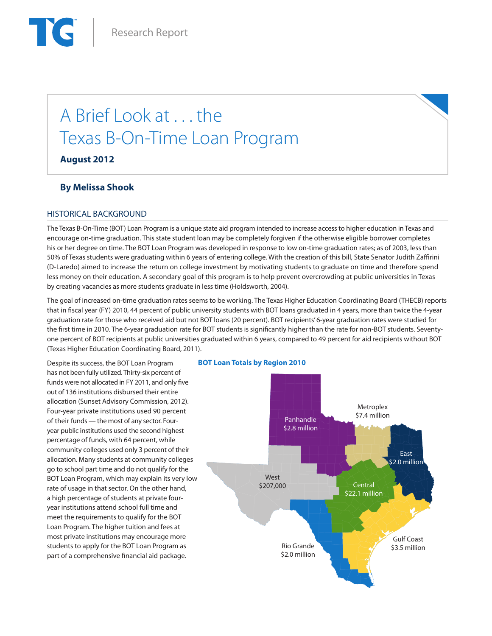# A Brief Look at . . . the Texas B-On-Time Loan Program

**August 2012**

# **By Melissa Shook**

# HISTORICAL BACKGROUND

The Texas B-On-Time (BOT) Loan Program is a unique state aid program intended to increase access to higher education in Texas and encourage on-time graduation. This state student loan may be completely forgiven if the otherwise eligible borrower completes his or her degree on time. The BOT Loan Program was developed in response to low on-time graduation rates; as of 2003, less than 50% of Texas students were graduating within 6 years of entering college. With the creation of this bill, State Senator Judith Zaffirini (D-Laredo) aimed to increase the return on college investment by motivating students to graduate on time and therefore spend less money on their education. A secondary goal of this program is to help prevent overcrowding at public universities in Texas by creating vacancies as more students graduate in less time (Holdsworth, 2004).

The goal of increased on-time graduation rates seems to be working. The Texas Higher Education Coordinating Board (THECB) reports that in fiscal year (FY) 2010, 44 percent of public university students with BOT loans graduated in 4 years, more than twice the 4-year graduation rate for those who received aid but not BOT loans (20 percent). BOT recipients' 6-year graduation rates were studied for the first time in 2010. The 6-year graduation rate for BOT students is significantly higher than the rate for non-BOT students. Seventyone percent of BOT recipients at public universities graduated within 6 years, compared to 49 percent for aid recipients without BOT (Texas Higher Education Coordinating Board, 2011).

Despite its success, the BOT Loan Program has not been fully utilized. Thirty-six percent of funds were not allocated in FY 2011, and only five out of 136 institutions disbursed their entire allocation (Sunset Advisory Commission, 2012). Four-year private institutions used 90 percent of their funds — the most of any sector. Fouryear public institutions used the second highest percentage of funds, with 64 percent, while community colleges used only 3 percent of their allocation. Many students at community colleges go to school part time and do not qualify for the BOT Loan Program, which may explain its very low rate of usage in that sector. On the other hand, a high percentage of students at private fouryear institutions attend school full time and meet the requirements to qualify for the BOT Loan Program. The higher tuition and fees at most private institutions may encourage more students to apply for the BOT Loan Program as part of a comprehensive financial aid package.

#### **BOT Loan Totals by Region 2010**

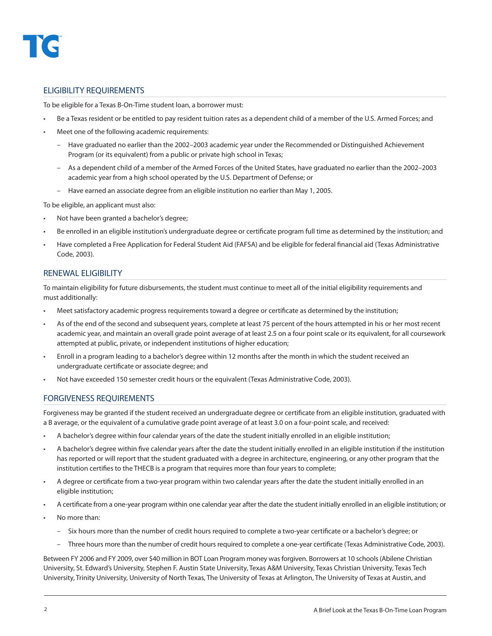## ELIGIBILITY REQUIREMENTS

To be eligible for a Texas B-On-Time student loan, a borrower must:

- Be a Texas resident or be entitled to pay resident tuition rates as a dependent child of a member of the U.S. Armed Forces; and
- Meet one of the following academic requirements:
	- Have graduated no earlier than the 2002–2003 academic year under the Recommended or Distinguished Achievement Program (or its equivalent) from a public or private high school in Texas;
	- As a dependent child of a member of the Armed Forces of the United States, have graduated no earlier than the 2002–2003 academic year from a high school operated by the U.S. Department of Defense; or
	- Have earned an associate degree from an eligible institution no earlier than May 1, 2005.

To be eligible, an applicant must also:

- Not have been granted a bachelor's degree;
- Be enrolled in an eligible institution's undergraduate degree or certificate program full time as determined by the institution; and
- Have completed a Free Application for Federal Student Aid (FAFSA) and be eligible for federal financial aid (Texas Administrative Code, 2003).

#### RENEWAL ELIGIBILITY

To maintain eligibility for future disbursements, the student must continue to meet all of the initial eligibility requirements and must additionally:

- Meet satisfactory academic progress requirements toward a degree or certificate as determined by the institution;
- As of the end of the second and subsequent years, complete at least 75 percent of the hours attempted in his or her most recent academic year, and maintain an overall grade point average of at least 2.5 on a four point scale or its equivalent, for all coursework attempted at public, private, or independent institutions of higher education;
- Enroll in a program leading to a bachelor's degree within 12 months after the month in which the student received an undergraduate certificate or associate degree; and
- Not have exceeded 150 semester credit hours or the equivalent (Texas Administrative Code, 2003).

### FORGIVENESS REQUIREMENTS

Forgiveness may be granted if the student received an undergraduate degree or certificate from an eligible institution, graduated with a B average, or the equivalent of a cumulative grade point average of at least 3.0 on a four-point scale, and received:

- A bachelor's degree within four calendar years of the date the student initially enrolled in an eligible institution;
- A bachelor's degree within five calendar years after the date the student initially enrolled in an eligible institution if the institution has reported or will report that the student graduated with a degree in architecture, engineering, or any other program that the institution certifies to the THECB is a program that requires more than four years to complete;
- A degree or certificate from a two-year program within two calendar years after the date the student initially enrolled in an eligible institution;
- A certificate from a one-year program within one calendar year after the date the student initially enrolled in an eligible institution; or
- No more than:
	- Six hours more than the number of credit hours required to complete a two-year certificate or a bachelor's degree; or
	- Three hours more than the number of credit hours required to complete a one-year certificate (Texas Administrative Code, 2003).

Between FY 2006 and FY 2009, over \$40 million in BOT Loan Program money was forgiven. Borrowers at 10 schools (Abilene Christian University, St. Edward's University, Stephen F. Austin State University, Texas A&M University, Texas Christian University, Texas Tech University, Trinity University, University of North Texas, The University of Texas at Arlington, The University of Texas at Austin, and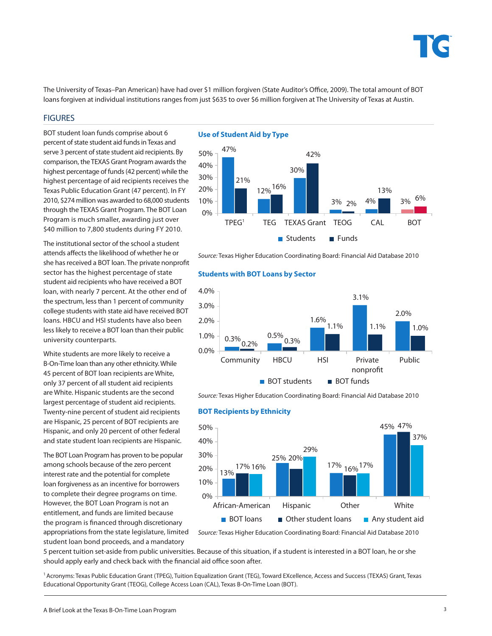

The University of Texas–Pan American) have had over \$1 million forgiven (State Auditor's Office, 2009). The total amount of BOT loans forgiven at individual institutions ranges from just \$635 to over \$6 million forgiven at The University of Texas at Austin.

#### **FIGURES**

BOT student loan funds comprise about 6 percent of state student aid funds in Texas and serve 3 percent of state student aid recipients. By comparison, the TEXAS Grant Program awards the highest percentage of funds (42 percent) while the highest percentage of aid recipients receives the Texas Public Education Grant (47 percent). In FY 2010, \$274 million was awarded to 68,000 students through the TEXAS Grant Program. The BOT Loan Program is much smaller, awarding just over \$40 million to 7,800 students during FY 2010.

The institutional sector of the school a student attends affects the likelihood of whether he or she has received a BOT loan. The private nonprofit sector has the highest percentage of state student aid recipients who have received a BOT loan, with nearly 7 percent. At the other end of the spectrum, less than 1 percent of community college students with state aid have received BOT loans. HBCU and HSI students have also been less likely to receive a BOT loan than their public university counterparts.

White students are more likely to receive a B-On-Time loan than any other ethnicity. While 45 percent of BOT loan recipients are White, only 37 percent of all student aid recipients are White. Hispanic students are the second largest percentage of student aid recipients. Twenty-nine percent of student aid recipients are Hispanic, 25 percent of BOT recipients are Hispanic, and only 20 percent of other federal and state student loan recipients are Hispanic.

The BOT Loan Program has proven to be popular among schools because of the zero percent interest rate and the potential for complete loan forgiveness as an incentive for borrowers to complete their degree programs on time. However, the BOT Loan Program is not an entitlement, and funds are limited because the program is financed through discretionary appropriations from the state legislature, limited

student loan bond proceeds, and a mandatory

**Use of Student Aid by Type**



*Source:* Texas Higher Education Coordinating Board: Financial Aid Database 2010

#### **Students with BOT Loans by Sector**



*Source:* Texas Higher Education Coordinating Board: Financial Aid Database 2010

#### **BOT Recipients by Ethnicity**



*Source:* Texas Higher Education Coordinating Board: Financial Aid Database 2010

5 percent tuition set-aside from public universities. Because of this situation, if a student is interested in a BOT loan, he or she should apply early and check back with the financial aid office soon after.

1 Acronyms: Texas Public Education Grant (TPEG), Tuition Equalization Grant (TEG), Toward EXcellence, Access and Success (TEXAS) Grant, Texas Educational Opportunity Grant (TEOG), College Access Loan (CAL), Texas B-On-Time Loan (BOT).